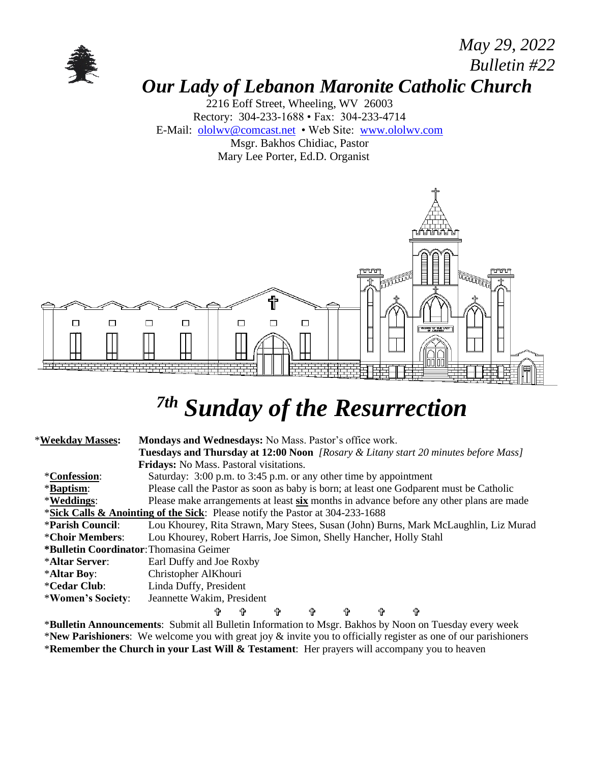

#### *May 29, 2022 Bulletin #22 Our Lady of Lebanon Maronite Catholic Church*

2216 Eoff Street, Wheeling, WV 26003 Rectory: 304-233-1688 • Fax: 304-233-4714 E-Mail: [ololwv@comcast.net](mailto:ololwv@comcast.net) • Web Site: [www.ololwv.com](http://www.ololwv.com/) Msgr. Bakhos Chidiac, Pastor Mary Lee Porter, Ed.D. Organist



# *7th Sunday of the Resurrection*

| *Weekday Masses:           | Mondays and Wednesdays: No Mass. Pastor's office work.                                    |   |   |   |   |   |   |  |
|----------------------------|-------------------------------------------------------------------------------------------|---|---|---|---|---|---|--|
|                            | <b>Tuesdays and Thursday at 12:00 Noon</b> [Rosary & Litany start 20 minutes before Mass] |   |   |   |   |   |   |  |
|                            | Fridays: No Mass. Pastoral visitations.                                                   |   |   |   |   |   |   |  |
| <i>*Confession:</i>        | Saturday: 3:00 p.m. to 3:45 p.m. or any other time by appointment                         |   |   |   |   |   |   |  |
| <i><b>*Baptism:</b></i>    | Please call the Pastor as soon as baby is born; at least one Godparent must be Catholic   |   |   |   |   |   |   |  |
| *Weddings:                 | Please make arrangements at least six months in advance before any other plans are made   |   |   |   |   |   |   |  |
|                            | *Sick Calls & Anointing of the Sick: Please notify the Pastor at 304-233-1688             |   |   |   |   |   |   |  |
| <b>*Parish Council:</b>    | Lou Khourey, Rita Strawn, Mary Stees, Susan (John) Burns, Mark McLaughlin, Liz Murad      |   |   |   |   |   |   |  |
| *Choir Members:            | Lou Khourey, Robert Harris, Joe Simon, Shelly Hancher, Holly Stahl                        |   |   |   |   |   |   |  |
|                            | * <b>Bulletin Coordinator:</b> Thomasina Geimer                                           |   |   |   |   |   |   |  |
| *Altar Server:             | Earl Duffy and Joe Roxby                                                                  |   |   |   |   |   |   |  |
| *Altar Boy:                | Christopher AlKhouri                                                                      |   |   |   |   |   |   |  |
| <i><b>*Cedar Club:</b></i> | Linda Duffy, President                                                                    |   |   |   |   |   |   |  |
| *Women's Society:          | Jeannette Wakim, President                                                                |   |   |   |   |   |   |  |
|                            | ╬                                                                                         | 令 | Ϋ | 4 | ╬ | 令 | ⇧ |  |

\***Bulletin Announcements**: Submit all Bulletin Information to Msgr. Bakhos by Noon on Tuesday every week \***New Parishioners**: We welcome you with great joy & invite you to officially register as one of our parishioners \***Remember the Church in your Last Will & Testament**: Her prayers will accompany you to heaven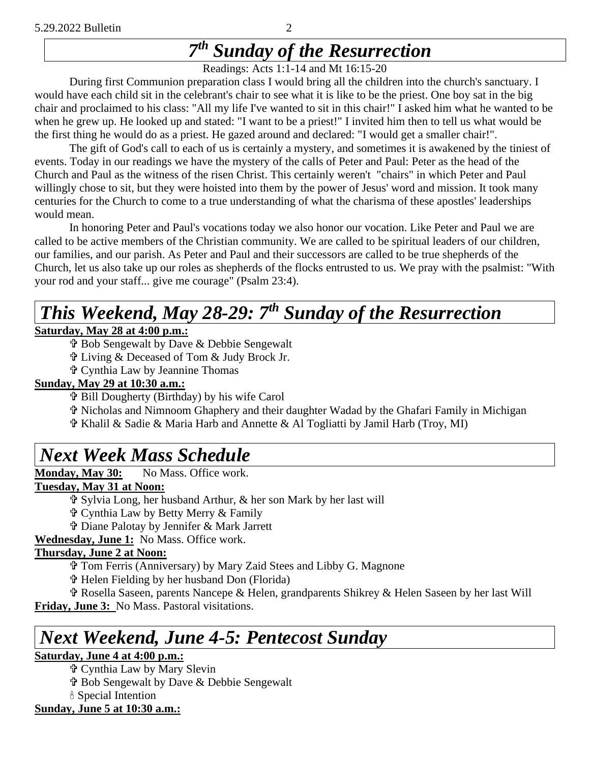## *7 th Sunday of the Resurrection*

Readings: Acts 1:1-14 and Mt 16:15-20

During first Communion preparation class I would bring all the children into the church's sanctuary. I would have each child sit in the celebrant's chair to see what it is like to be the priest. One boy sat in the big chair and proclaimed to his class: "All my life I've wanted to sit in this chair!" I asked him what he wanted to be when he grew up. He looked up and stated: "I want to be a priest!" I invited him then to tell us what would be the first thing he would do as a priest. He gazed around and declared: "I would get a smaller chair!".

The gift of God's call to each of us is certainly a mystery, and sometimes it is awakened by the tiniest of events. Today in our readings we have the mystery of the calls of Peter and Paul: Peter as the head of the Church and Paul as the witness of the risen Christ. This certainly weren't "chairs" in which Peter and Paul willingly chose to sit, but they were hoisted into them by the power of Jesus' word and mission. It took many centuries for the Church to come to a true understanding of what the charisma of these apostles' leaderships would mean.

In honoring Peter and Paul's vocations today we also honor our vocation. Like Peter and Paul we are called to be active members of the Christian community. We are called to be spiritual leaders of our children, our families, and our parish. As Peter and Paul and their successors are called to be true shepherds of the Church, let us also take up our roles as shepherds of the flocks entrusted to us. We pray with the psalmist: "With your rod and your staff... give me courage" (Psalm 23:4).

# *This Weekend, May 28-29: 7 th Sunday of the Resurrection*

#### **Saturday, May 28 at 4:00 p.m.:**

Bob Sengewalt by Dave & Debbie Sengewalt

- Living & Deceased of Tom & Judy Brock Jr.
- Cynthia Law by Jeannine Thomas

#### **Sunday, May 29 at 10:30 a.m.:**

- Bill Dougherty (Birthday) by his wife Carol
- Nicholas and Nimnoom Ghaphery and their daughter Wadad by the Ghafari Family in Michigan
- Khalil & Sadie & Maria Harb and Annette & Al Togliatti by Jamil Harb (Troy, MI)

### *Next Week Mass Schedule*

**Monday, May 30:** No Mass. Office work.

#### **Tuesday, May 31 at Noon:**

- Sylvia Long, her husband Arthur, & her son Mark by her last will
- Cynthia Law by Betty Merry & Family
- Diane Palotay by Jennifer & Mark Jarrett
- **Wednesday, June 1:** No Mass. Office work.

#### **Thursday, June 2 at Noon:**

- Tom Ferris (Anniversary) by Mary Zaid Stees and Libby G. Magnone
- Helen Fielding by her husband Don (Florida)

 Rosella Saseen, parents Nancepe & Helen, grandparents Shikrey & Helen Saseen by her last Will **Friday, June 3:** No Mass. Pastoral visitations.

## *Next Weekend, June 4-5: Pentecost Sunday*

#### **Saturday, June 4 at 4:00 p.m.:**

Cynthia Law by Mary Slevin

- Bob Sengewalt by Dave & Debbie Sengewalt
- Special Intention

#### **Sunday, June 5 at 10:30 a.m.:**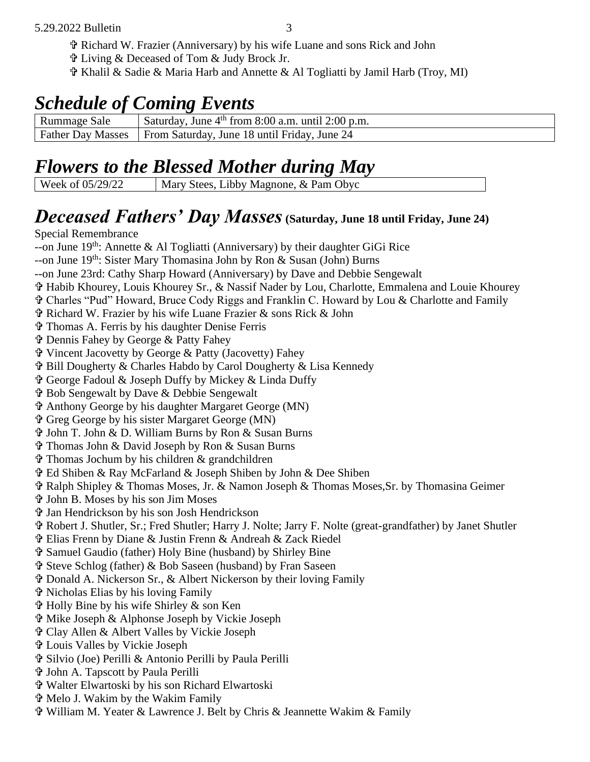#### 5.29.2022 Bulletin 3

- Richard W. Frazier (Anniversary) by his wife Luane and sons Rick and John
- Living & Deceased of Tom & Judy Brock Jr.
- Khalil & Sadie & Maria Harb and Annette & Al Togliatti by Jamil Harb (Troy, MI)

## *Schedule of Coming Events*

| <b>Rummage Sale</b>      | Saturday, June $4th$ from 8:00 a.m. until 2:00 p.m.       |
|--------------------------|-----------------------------------------------------------|
| <b>Father Day Masses</b> | <sup>1</sup> From Saturday, June 18 until Friday, June 24 |

## *Flowers to the Blessed Mother during May*

|--|

## *Deceased Fathers' Day Masses***(Saturday, June 18 until Friday, June 24)**

Special Remembrance

--on June  $19^{th}$ : Annette & Al Togliatti (Anniversary) by their daughter GiGi Rice

--on June 19<sup>th</sup>: Sister Mary Thomasina John by Ron & Susan (John) Burns

- --on June 23rd: Cathy Sharp Howard (Anniversary) by Dave and Debbie Sengewalt
- Habib Khourey, Louis Khourey Sr., & Nassif Nader by Lou, Charlotte, Emmalena and Louie Khourey
- Charles "Pud" Howard, Bruce Cody Riggs and Franklin C. Howard by Lou & Charlotte and Family
- Richard W. Frazier by his wife Luane Frazier & sons Rick & John
- Thomas A. Ferris by his daughter Denise Ferris
- Dennis Fahey by George & Patty Fahey
- Vincent Jacovetty by George & Patty (Jacovetty) Fahey
- Bill Dougherty & Charles Habdo by Carol Dougherty & Lisa Kennedy
- George Fadoul & Joseph Duffy by Mickey & Linda Duffy
- Bob Sengewalt by Dave & Debbie Sengewalt
- Anthony George by his daughter Margaret George (MN)
- Greg George by his sister Margaret George (MN)
- John T. John & D. William Burns by Ron & Susan Burns
- Thomas John & David Joseph by Ron & Susan Burns
- Thomas Jochum by his children & grandchildren
- Ed Shiben & Ray McFarland & Joseph Shiben by John & Dee Shiben
- Ralph Shipley & Thomas Moses, Jr. & Namon Joseph & Thomas Moses,Sr. by Thomasina Geimer
- John B. Moses by his son Jim Moses
- Jan Hendrickson by his son Josh Hendrickson
- Robert J. Shutler, Sr.; Fred Shutler; Harry J. Nolte; Jarry F. Nolte (great-grandfather) by Janet Shutler
- Elias Frenn by Diane & Justin Frenn & Andreah & Zack Riedel
- Samuel Gaudio (father) Holy Bine (husband) by Shirley Bine
- Steve Schlog (father) & Bob Saseen (husband) by Fran Saseen
- Donald A. Nickerson Sr., & Albert Nickerson by their loving Family
- Nicholas Elias by his loving Family
- Holly Bine by his wife Shirley & son Ken
- Mike Joseph & Alphonse Joseph by Vickie Joseph
- Clay Allen & Albert Valles by Vickie Joseph
- Louis Valles by Vickie Joseph
- Silvio (Joe) Perilli & Antonio Perilli by Paula Perilli
- John A. Tapscott by Paula Perilli
- Walter Elwartoski by his son Richard Elwartoski
- Melo J. Wakim by the Wakim Family
- William M. Yeater & Lawrence J. Belt by Chris & Jeannette Wakim & Family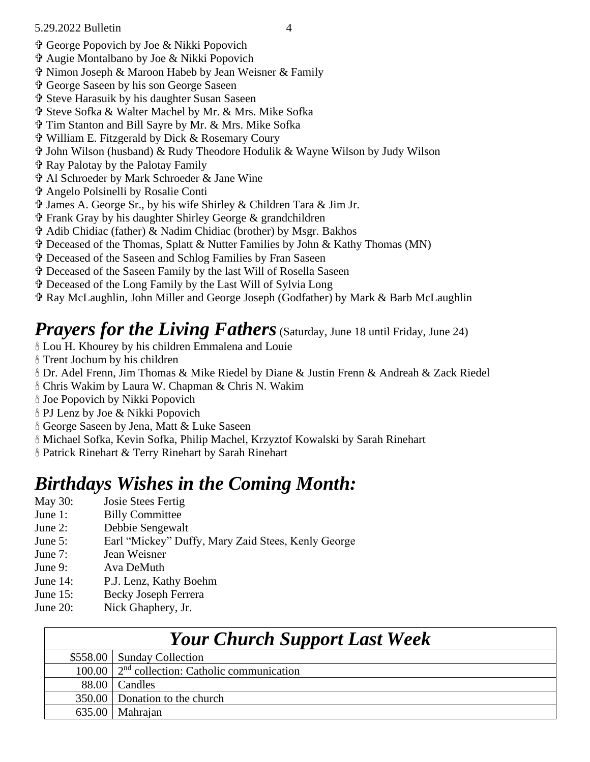#### 5.29.2022 Bulletin 4

- 
- George Popovich by Joe & Nikki Popovich
- Augie Montalbano by Joe & Nikki Popovich
- Nimon Joseph & Maroon Habeb by Jean Weisner & Family
- George Saseen by his son George Saseen
- Steve Harasuik by his daughter Susan Saseen
- Steve Sofka & Walter Machel by Mr. & Mrs. Mike Sofka
- Tim Stanton and Bill Sayre by Mr. & Mrs. Mike Sofka
- William E. Fitzgerald by Dick & Rosemary Coury
- John Wilson (husband) & Rudy Theodore Hodulik & Wayne Wilson by Judy Wilson
- Ray Palotay by the Palotay Family
- Al Schroeder by Mark Schroeder & Jane Wine
- Angelo Polsinelli by Rosalie Conti
- $\hat{\mathbf{\Phi}}$  James A. George Sr., by his wife Shirley & Children Tara & Jim Jr.
- Frank Gray by his daughter Shirley George & grandchildren
- Adib Chidiac (father) & Nadim Chidiac (brother) by Msgr. Bakhos
- Deceased of the Thomas, Splatt & Nutter Families by John & Kathy Thomas (MN)
- Deceased of the Saseen and Schlog Families by Fran Saseen
- Deceased of the Saseen Family by the last Will of Rosella Saseen
- Deceased of the Long Family by the Last Will of Sylvia Long
- Ray McLaughlin, John Miller and George Joseph (Godfather) by Mark & Barb McLaughlin

### *Prayers for the Living Fathers* (Saturday, June 18 until Friday, June 24)

- Lou H. Khourey by his children Emmalena and Louie
- Trent Jochum by his children
- Dr. Adel Frenn, Jim Thomas & Mike Riedel by Diane & Justin Frenn & Andreah & Zack Riedel
- Chris Wakim by Laura W. Chapman & Chris N. Wakim
- Joe Popovich by Nikki Popovich
- PJ Lenz by Joe & Nikki Popovich
- George Saseen by Jena, Matt & Luke Saseen
- Michael Sofka, Kevin Sofka, Philip Machel, Krzyztof Kowalski by Sarah Rinehart
- Patrick Rinehart & Terry Rinehart by Sarah Rinehart

### *Birthdays Wishes in the Coming Month:*

- May 30: Josie Stees Fertig
- June 1: Billy Committee
- June 2: Debbie Sengewalt
- June 5: Earl "Mickey" Duffy, Mary Zaid Stees, Kenly George
- June 7: Jean Weisner
- June 9: Ava DeMuth
- June 14: P.J. Lenz, Kathy Boehm
- June 15: Becky Joseph Ferrera
- June 20: Nick Ghaphery, Jr.

| <b>Your Church Support Last Week</b> |                                                                   |  |  |  |
|--------------------------------------|-------------------------------------------------------------------|--|--|--|
|                                      | \$558.00   Sunday Collection                                      |  |  |  |
|                                      | 100.00 $\vert$ 2 <sup>nd</sup> collection: Catholic communication |  |  |  |
|                                      | 88.00   Candles                                                   |  |  |  |
|                                      | 350.00 Donation to the church                                     |  |  |  |
|                                      | $635.00$   Mahrajan                                               |  |  |  |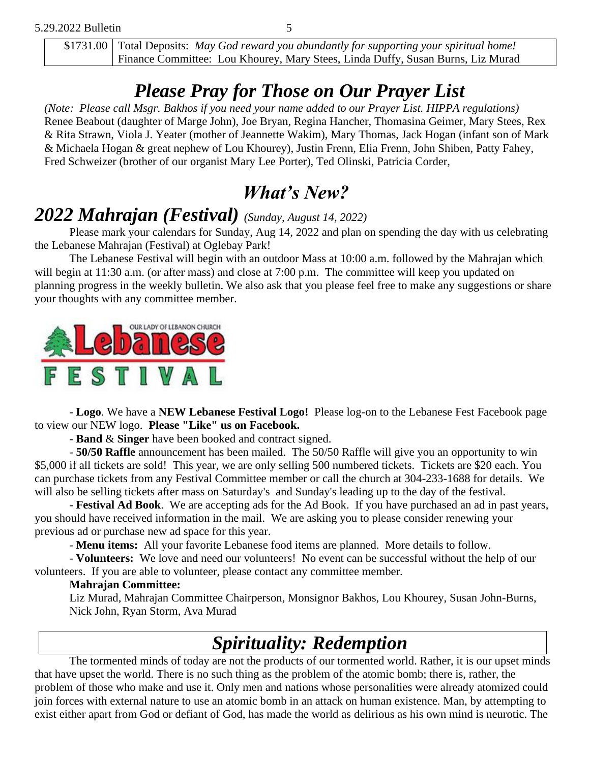| \$1731.00 Total Deposits: May God reward you abundantly for supporting your spiritual home! |
|---------------------------------------------------------------------------------------------|
| Finance Committee: Lou Khourey, Mary Stees, Linda Duffy, Susan Burns, Liz Murad             |

## *Please Pray for Those on Our Prayer List*

*(Note: Please call Msgr. Bakhos if you need your name added to our Prayer List. HIPPA regulations)* Renee Beabout (daughter of Marge John), Joe Bryan, Regina Hancher, Thomasina Geimer, Mary Stees, Rex & Rita Strawn, Viola J. Yeater (mother of Jeannette Wakim), Mary Thomas, Jack Hogan (infant son of Mark & Michaela Hogan & great nephew of Lou Khourey), Justin Frenn, Elia Frenn, John Shiben, Patty Fahey, Fred Schweizer (brother of our organist Mary Lee Porter), Ted Olinski, Patricia Corder,

#### *What's New?*

#### *2022 Mahrajan (Festival) (Sunday, August 14, 2022)*

Please mark your calendars for Sunday, Aug 14, 2022 and plan on spending the day with us celebrating the Lebanese Mahrajan (Festival) at Oglebay Park!

The Lebanese Festival will begin with an outdoor Mass at 10:00 a.m. followed by the Mahrajan which will begin at 11:30 a.m. (or after mass) and close at 7:00 p.m. The committee will keep you updated on planning progress in the weekly bulletin. We also ask that you please feel free to make any suggestions or share your thoughts with any committee member.



- **Logo**. We have a **NEW Lebanese Festival Logo!** Please log-on to the Lebanese Fest Facebook page to view our NEW logo. **Please "Like" us on Facebook.**

- **Band** & **Singer** have been booked and contract signed.

- **50/50 Raffle** announcement has been mailed. The 50/50 Raffle will give you an opportunity to win \$5,000 if all tickets are sold! This year, we are only selling 500 numbered tickets. Tickets are \$20 each. You can purchase tickets from any Festival Committee member or call the church at 304-233-1688 for details. We will also be selling tickets after mass on Saturday's and Sunday's leading up to the day of the festival.

- **Festival Ad Book**. We are accepting ads for the Ad Book. If you have purchased an ad in past years, you should have received information in the mail. We are asking you to please consider renewing your previous ad or purchase new ad space for this year.

- **Menu items:** All your favorite Lebanese food items are planned. More details to follow.

- **Volunteers:** We love and need our volunteers! No event can be successful without the help of our volunteers. If you are able to volunteer, please contact any committee member.

#### **Mahrajan Committee:**

Liz Murad, Mahrajan Committee Chairperson, Monsignor Bakhos, Lou Khourey, Susan John-Burns, Nick John, Ryan Storm, Ava Murad

## *Spirituality: Redemption*

The tormented minds of today are not the products of our tormented world. Rather, it is our upset minds that have upset the world. There is no such thing as the problem of the atomic bomb; there is, rather, the problem of those who make and use it. Only men and nations whose personalities were already atomized could join forces with external nature to use an atomic bomb in an attack on human existence. Man, by attempting to exist either apart from God or defiant of God, has made the world as delirious as his own mind is neurotic. The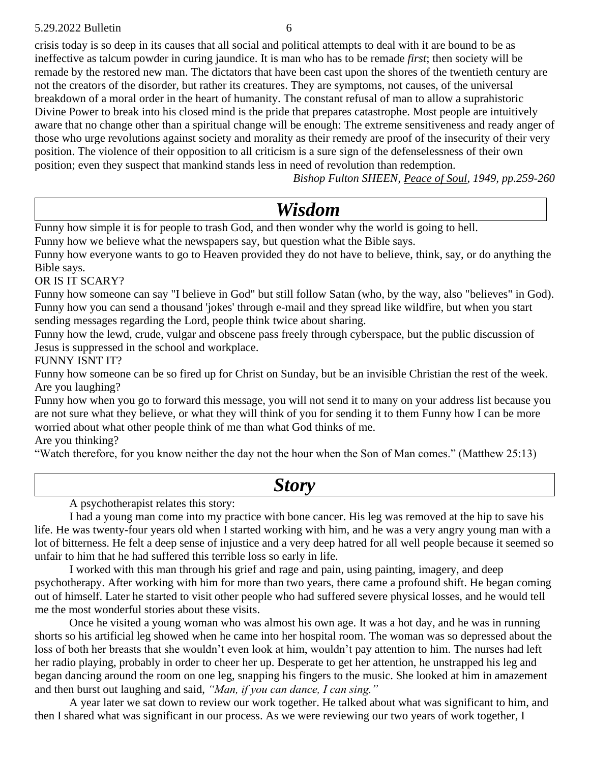crisis today is so deep in its causes that all social and political attempts to deal with it are bound to be as ineffective as talcum powder in curing jaundice. It is man who has to be remade *first*; then society will be remade by the restored new man. The dictators that have been cast upon the shores of the twentieth century are not the creators of the disorder, but rather its creatures. They are symptoms, not causes, of the universal breakdown of a moral order in the heart of humanity. The constant refusal of man to allow a suprahistoric Divine Power to break into his closed mind is the pride that prepares catastrophe. Most people are intuitively aware that no change other than a spiritual change will be enough: The extreme sensitiveness and ready anger of those who urge revolutions against society and morality as their remedy are proof of the insecurity of their very position. The violence of their opposition to all criticism is a sure sign of the defenselessness of their own position; even they suspect that mankind stands less in need of revolution than redemption.

*Bishop Fulton SHEEN, Peace of Soul, 1949, pp.259-260*

#### *Wisdom*

Funny how simple it is for people to trash God, and then wonder why the world is going to hell.

Funny how we believe what the newspapers say, but question what the Bible says.

Funny how everyone wants to go to Heaven provided they do not have to believe, think, say, or do anything the Bible says.

#### OR IS IT SCARY?

Funny how someone can say "I believe in God" but still follow Satan (who, by the way, also "believes" in God). Funny how you can send a thousand 'jokes' through e-mail and they spread like wildfire, but when you start sending messages regarding the Lord, people think twice about sharing.

Funny how the lewd, crude, vulgar and obscene pass freely through cyberspace, but the public discussion of Jesus is suppressed in the school and workplace.

FUNNY ISNT IT?

Funny how someone can be so fired up for Christ on Sunday, but be an invisible Christian the rest of the week. Are you laughing?

Funny how when you go to forward this message, you will not send it to many on your address list because you are not sure what they believe, or what they will think of you for sending it to them Funny how I can be more worried about what other people think of me than what God thinks of me.

Are you thinking?

"Watch therefore, for you know neither the day not the hour when the Son of Man comes." (Matthew 25:13)

#### *Story*

A psychotherapist relates this story:

I had a young man come into my practice with bone cancer. His leg was removed at the hip to save his life. He was twenty-four years old when I started working with him, and he was a very angry young man with a lot of bitterness. He felt a deep sense of injustice and a very deep hatred for all well people because it seemed so unfair to him that he had suffered this terrible loss so early in life.

I worked with this man through his grief and rage and pain, using painting, imagery, and deep psychotherapy. After working with him for more than two years, there came a profound shift. He began coming out of himself. Later he started to visit other people who had suffered severe physical losses, and he would tell me the most wonderful stories about these visits.

Once he visited a young woman who was almost his own age. It was a hot day, and he was in running shorts so his artificial leg showed when he came into her hospital room. The woman was so depressed about the loss of both her breasts that she wouldn't even look at him, wouldn't pay attention to him. The nurses had left her radio playing, probably in order to cheer her up. Desperate to get her attention, he unstrapped his leg and began dancing around the room on one leg, snapping his fingers to the music. She looked at him in amazement and then burst out laughing and said, *"Man, if you can dance, I can sing."*

A year later we sat down to review our work together. He talked about what was significant to him, and then I shared what was significant in our process. As we were reviewing our two years of work together, I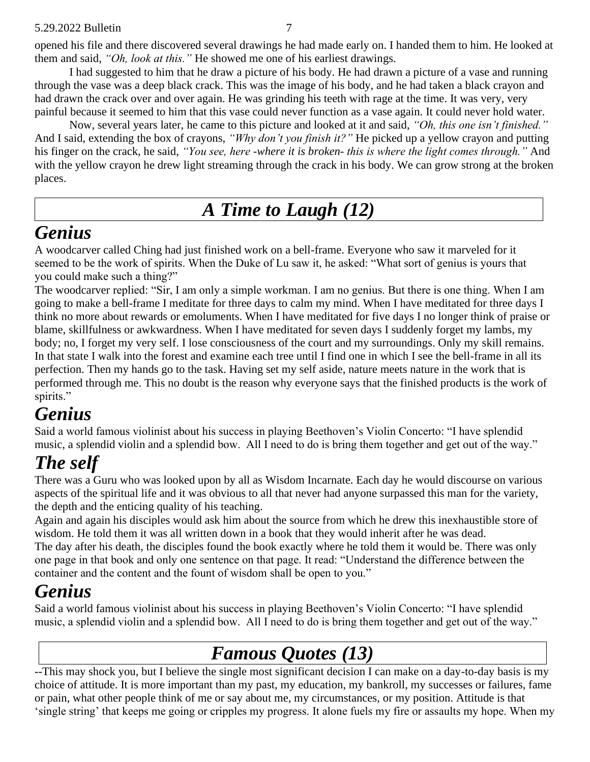opened his file and there discovered several drawings he had made early on. I handed them to him. He looked at them and said, *"Oh, look at this."* He showed me one of his earliest drawings.

I had suggested to him that he draw a picture of his body. He had drawn a picture of a vase and running through the vase was a deep black crack. This was the image of his body, and he had taken a black crayon and had drawn the crack over and over again. He was grinding his teeth with rage at the time. It was very, very painful because it seemed to him that this vase could never function as a vase again. It could never hold water.

Now, several years later, he came to this picture and looked at it and said, *"Oh, this one isn't finished."* And I said, extending the box of crayons, *"Why don't you finish it?"* He picked up a yellow crayon and putting his finger on the crack, he said, *"You see, here -where it is broken- this is where the light comes through."* And with the yellow crayon he drew light streaming through the crack in his body. We can grow strong at the broken places.

### *A Time to Laugh (12)*

## *Genius*

A woodcarver called Ching had just finished work on a bell-frame. Everyone who saw it marveled for it seemed to be the work of spirits. When the Duke of Lu saw it, he asked: "What sort of genius is yours that you could make such a thing?"

The woodcarver replied: "Sir, I am only a simple workman. I am no genius. But there is one thing. When I am going to make a bell-frame I meditate for three days to calm my mind. When I have meditated for three days I think no more about rewards or emoluments. When I have meditated for five days I no longer think of praise or blame, skillfulness or awkwardness. When I have meditated for seven days I suddenly forget my lambs, my body; no, I forget my very self. I lose consciousness of the court and my surroundings. Only my skill remains. In that state I walk into the forest and examine each tree until I find one in which I see the bell-frame in all its perfection. Then my hands go to the task. Having set my self aside, nature meets nature in the work that is performed through me. This no doubt is the reason why everyone says that the finished products is the work of spirits."

#### *Genius*

Said a world famous violinist about his success in playing Beethoven's Violin Concerto: "I have splendid music, a splendid violin and a splendid bow. All I need to do is bring them together and get out of the way."

## *The self*

There was a Guru who was looked upon by all as Wisdom Incarnate. Each day he would discourse on various aspects of the spiritual life and it was obvious to all that never had anyone surpassed this man for the variety, the depth and the enticing quality of his teaching.

Again and again his disciples would ask him about the source from which he drew this inexhaustible store of wisdom. He told them it was all written down in a book that they would inherit after he was dead.

The day after his death, the disciples found the book exactly where he told them it would be. There was only one page in that book and only one sentence on that page. It read: "Understand the difference between the container and the content and the fount of wisdom shall be open to you."

## *Genius*

Said a world famous violinist about his success in playing Beethoven's Violin Concerto: "I have splendid music, a splendid violin and a splendid bow. All I need to do is bring them together and get out of the way."

## *Famous Quotes (13)*

--This may shock you, but I believe the single most significant decision I can make on a day-to-day basis is my choice of attitude. It is more important than my past, my education, my bankroll, my successes or failures, fame or pain, what other people think of me or say about me, my circumstances, or my position. Attitude is that 'single string' that keeps me going or cripples my progress. It alone fuels my fire or assaults my hope. When my